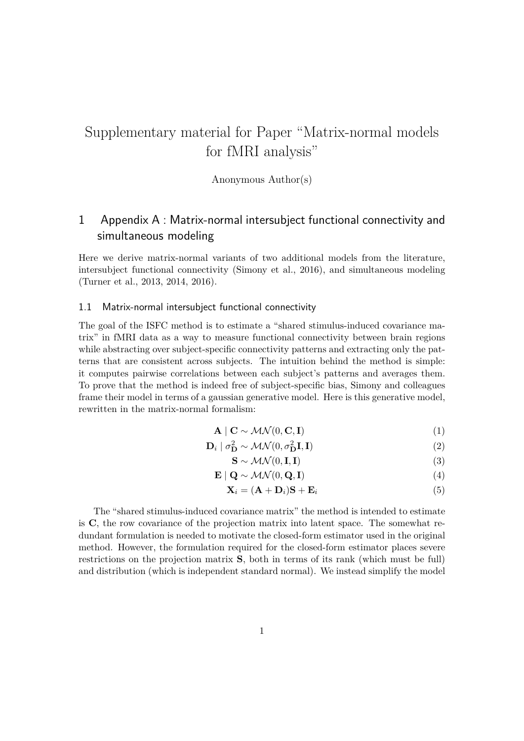# Supplementary material for Paper "Matrix-normal models for fMRI analysis"

Anonymous Author(s)

## 1 Appendix A : Matrix-normal intersubject functional connectivity and simultaneous modeling

Here we derive matrix-normal variants of two additional models from the literature, intersubject functional connectivity (Simony et al., 2016), and simultaneous modeling (Turner et al., 2013, 2014, 2016).

#### 1.1 Matrix-normal intersubject functional connectivity

The goal of the ISFC method is to estimate a "shared stimulus-induced covariance matrix" in fMRI data as a way to measure functional connectivity between brain regions while abstracting over subject-specific connectivity patterns and extracting only the patterns that are consistent across subjects. The intuition behind the method is simple: it computes pairwise correlations between each subject's patterns and averages them. To prove that the method is indeed free of subject-specific bias, Simony and colleagues frame their model in terms of a gaussian generative model. Here is this generative model, rewritten in the matrix-normal formalism:

$$
\mathbf{A} \mid \mathbf{C} \sim \mathcal{MN}(0, \mathbf{C}, \mathbf{I}) \tag{1}
$$

$$
\mathbf{D}_{i} \mid \sigma_{\mathbf{D}}^{2} \sim \mathcal{MN}(0, \sigma_{\mathbf{D}}^{2} \mathbf{I}, \mathbf{I})
$$
\n(2)

$$
\mathbf{S} \sim \mathcal{MN}(0, \mathbf{I}, \mathbf{I}) \tag{3}
$$

$$
\mathbf{E} \mid \mathbf{Q} \sim \mathcal{MN}(0, \mathbf{Q}, \mathbf{I}) \tag{4}
$$

$$
\mathbf{X}_i = (\mathbf{A} + \mathbf{D}_i)\mathbf{S} + \mathbf{E}_i \tag{5}
$$

The "shared stimulus-induced covariance matrix" the method is intended to estimate is **C**, the row covariance of the projection matrix into latent space. The somewhat redundant formulation is needed to motivate the closed-form estimator used in the original method. However, the formulation required for the closed-form estimator places severe restrictions on the projection matrix **S**, both in terms of its rank (which must be full) and distribution (which is independent standard normal). We instead simplify the model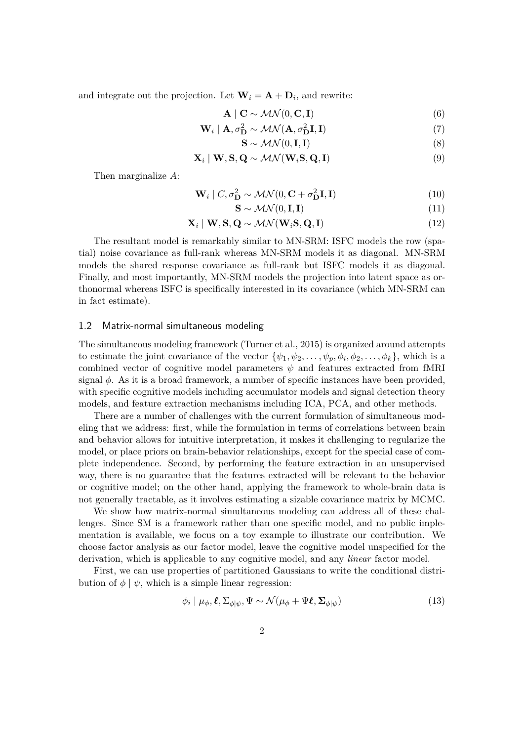and integrate out the projection. Let  $\mathbf{W}_i = \mathbf{A} + \mathbf{D}_i$ , and rewrite:

$$
\mathbf{A} \mid \mathbf{C} \sim \mathcal{MN}(0, \mathbf{C}, \mathbf{I}) \tag{6}
$$

$$
\mathbf{W}_i \mid \mathbf{A}, \sigma^2 \mathbf{D} \sim \mathcal{MN}(\mathbf{A}, \sigma^2 \mathbf{D} \mathbf{I}, \mathbf{I}) \tag{7}
$$

$$
\mathbf{S} \sim \mathcal{MN}(0, \mathbf{I}, \mathbf{I}) \tag{8}
$$

$$
\mathbf{X}_i \mid \mathbf{W}, \mathbf{S}, \mathbf{Q} \sim \mathcal{MN}(\mathbf{W}_i \mathbf{S}, \mathbf{Q}, \mathbf{I})
$$
\n(9)

Then marginalize *A*:

$$
\mathbf{W}_i \mid C, \sigma_{\mathbf{D}}^2 \sim \mathcal{MN}(0, \mathbf{C} + \sigma_{\mathbf{D}}^2 \mathbf{I}, \mathbf{I})
$$
\n(10)

$$
\mathbf{S} \sim \mathcal{MN}(0, \mathbf{I}, \mathbf{I}) \tag{11}
$$

$$
\mathbf{X}_i \mid \mathbf{W}, \mathbf{S}, \mathbf{Q} \sim \mathcal{MN}(\mathbf{W}_i \mathbf{S}, \mathbf{Q}, \mathbf{I})
$$
\n(12)

The resultant model is remarkably similar to MN-SRM: ISFC models the row (spatial) noise covariance as full-rank whereas MN-SRM models it as diagonal. MN-SRM models the shared response covariance as full-rank but ISFC models it as diagonal. Finally, and most importantly, MN-SRM models the projection into latent space as orthonormal whereas ISFC is specifically interested in its covariance (which MN-SRM can in fact estimate).

#### 1.2 Matrix-normal simultaneous modeling

The simultaneous modeling framework (Turner et al., 2015) is organized around attempts to estimate the joint covariance of the vector  $\{\psi_1, \psi_2, \dots, \psi_p, \phi_i, \phi_2, \dots, \phi_k\}$ , which is a combined vector of cognitive model parameters  $\psi$  and features extracted from fMRI signal *ϕ*. As it is a broad framework, a number of specific instances have been provided, with specific cognitive models including accumulator models and signal detection theory models, and feature extraction mechanisms including ICA, PCA, and other methods.

There are a number of challenges with the current formulation of simultaneous modeling that we address: first, while the formulation in terms of correlations between brain and behavior allows for intuitive interpretation, it makes it challenging to regularize the model, or place priors on brain-behavior relationships, except for the special case of complete independence. Second, by performing the feature extraction in an unsupervised way, there is no guarantee that the features extracted will be relevant to the behavior or cognitive model; on the other hand, applying the framework to whole-brain data is not generally tractable, as it involves estimating a sizable covariance matrix by MCMC.

We show how matrix-normal simultaneous modeling can address all of these challenges. Since SM is a framework rather than one specific model, and no public implementation is available, we focus on a toy example to illustrate our contribution. We choose factor analysis as our factor model, leave the cognitive model unspecified for the derivation, which is applicable to any cognitive model, and any *linear* factor model.

First, we can use properties of partitioned Gaussians to write the conditional distribution of  $\phi \mid \psi$ , which is a simple linear regression:

$$
\phi_i \mid \mu_\phi, \ell, \Sigma_{\phi|\psi}, \Psi \sim \mathcal{N}(\mu_\phi + \Psi \ell, \Sigma_{\phi|\psi}) \tag{13}
$$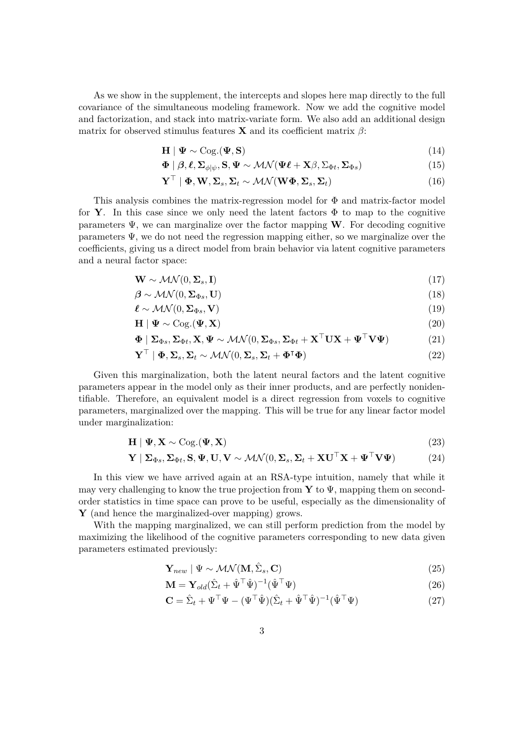As we show in the supplement, the intercepts and slopes here map directly to the full covariance of the simultaneous modeling framework. Now we add the cognitive model and factorization, and stack into matrix-variate form. We also add an additional design matrix for observed stimulus features **X** and its coefficient matrix  $\beta$ :

$$
\mathbf{H} \mid \mathbf{\Psi} \sim \text{Cog.}(\mathbf{\Psi}, \mathbf{S}) \tag{14}
$$

$$
\Phi | \beta, \ell, \Sigma_{\phi|\psi}, \mathbf{S}, \Psi \sim \mathcal{MN}(\Psi\ell + \mathbf{X}\beta, \Sigma_{\Phi t}, \Sigma_{\Phi s})
$$
(15)

$$
\mathbf{Y}^{\top} | \mathbf{\Phi}, \mathbf{W}, \mathbf{\Sigma}_s, \mathbf{\Sigma}_t \sim \mathcal{MN}(\mathbf{W}\mathbf{\Phi}, \mathbf{\Sigma}_s, \mathbf{\Sigma}_t)
$$
 (16)

This analysis combines the matrix-regression model for Φ and matrix-factor model for **Y**. In this case since we only need the latent factors  $\Phi$  to map to the cognitive parameters  $\Psi$ , we can marginalize over the factor mapping **W**. For decoding cognitive parameters  $\Psi$ , we do not need the regression mapping either, so we marginalize over the coefficients, giving us a direct model from brain behavior via latent cognitive parameters and a neural factor space:

$$
\mathbf{W} \sim \mathcal{MN}(0, \Sigma_s, \mathbf{I}) \tag{17}
$$

$$
\boldsymbol{\beta} \sim \mathcal{MN}(0, \boldsymbol{\Sigma}_{\Phi s}, \mathbf{U}) \tag{18}
$$

$$
\ell \sim \mathcal{MN}(0, \Sigma_{\Phi s}, \mathbf{V}) \tag{19}
$$

$$
\mathbf{H} \mid \mathbf{\Psi} \sim \text{Cog.}(\mathbf{\Psi}, \mathbf{X}) \tag{20}
$$

$$
\mathbf{\Phi} \mid \mathbf{\Sigma}_{\Phi s}, \mathbf{\Sigma}_{\Phi t}, \mathbf{X}, \mathbf{\Psi} \sim \mathcal{MN}(0, \mathbf{\Sigma}_{\Phi s}, \mathbf{\Sigma}_{\Phi t} + \mathbf{X}^\top \mathbf{U} \mathbf{X} + \mathbf{\Psi}^\top \mathbf{V} \mathbf{\Psi})
$$
(21)

$$
\mathbf{Y}^{\top} \mid \mathbf{\Phi}, \mathbf{\Sigma}_{s}, \mathbf{\Sigma}_{t} \sim \mathcal{MN}(0, \mathbf{\Sigma}_{s}, \mathbf{\Sigma}_{t} + \mathbf{\Phi}^{\top}\mathbf{\Phi}) \tag{22}
$$

Given this marginalization, both the latent neural factors and the latent cognitive parameters appear in the model only as their inner products, and are perfectly nonidentifiable. Therefore, an equivalent model is a direct regression from voxels to cognitive parameters, marginalized over the mapping. This will be true for any linear factor model under marginalization:

$$
\mathbf{H} \mid \mathbf{\Psi}, \mathbf{X} \sim \text{Cog.}(\mathbf{\Psi}, \mathbf{X}) \tag{23}
$$

$$
\mathbf{Y} \mid \mathbf{\Sigma}_{\Phi s}, \mathbf{\Sigma}_{\Phi t}, \mathbf{S}, \mathbf{\Psi}, \mathbf{U}, \mathbf{V} \sim \mathcal{MN}(0, \mathbf{\Sigma}_s, \mathbf{\Sigma}_t + \mathbf{X}\mathbf{U}^\top \mathbf{X} + \mathbf{\Psi}^\top \mathbf{V} \mathbf{\Psi})
$$
(24)

In this view we have arrived again at an RSA-type intuition, namely that while it may very challenging to know the true projection from **Y** to Ψ, mapping them on secondorder statistics in time space can prove to be useful, especially as the dimensionality of **Y** (and hence the marginalized-over mapping) grows.

With the mapping marginalized, we can still perform prediction from the model by maximizing the likelihood of the cognitive parameters corresponding to new data given parameters estimated previously:

$$
\mathbf{Y}_{new} \mid \Psi \sim \mathcal{MN}(\mathbf{M}, \hat{\Sigma}_s, \mathbf{C}) \tag{25}
$$

$$
\mathbf{M} = \mathbf{Y}_{old} (\hat{\Sigma}_t + \hat{\Psi}^\top \hat{\Psi})^{-1} (\hat{\Psi}^\top \Psi)
$$
\n(26)

$$
\mathbf{C} = \hat{\Sigma}_t + \Psi^\top \Psi - (\Psi^\top \hat{\Psi})(\hat{\Sigma}_t + \hat{\Psi}^\top \hat{\Psi})^{-1}(\hat{\Psi}^\top \Psi) \tag{27}
$$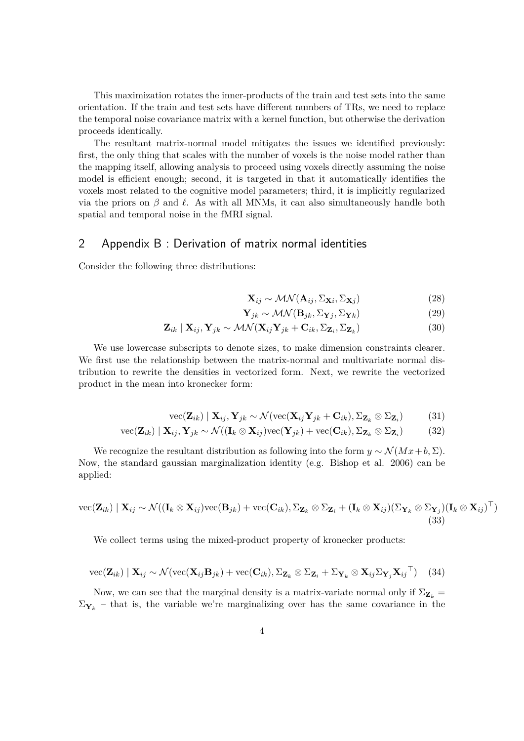This maximization rotates the inner-products of the train and test sets into the same orientation. If the train and test sets have different numbers of TRs, we need to replace the temporal noise covariance matrix with a kernel function, but otherwise the derivation proceeds identically.

The resultant matrix-normal model mitigates the issues we identified previously: first, the only thing that scales with the number of voxels is the noise model rather than the mapping itself, allowing analysis to proceed using voxels directly assuming the noise model is efficient enough; second, it is targeted in that it automatically identifies the voxels most related to the cognitive model parameters; third, it is implicitly regularized via the priors on  $\beta$  and  $\ell$ . As with all MNMs, it can also simultaneously handle both spatial and temporal noise in the fMRI signal.

### 2 Appendix B : Derivation of matrix normal identities

Consider the following three distributions:

$$
\mathbf{X}_{ij} \sim \mathcal{MN}(\mathbf{A}_{ij}, \Sigma_{\mathbf{X}i}, \Sigma_{\mathbf{X}j})
$$
(28)

$$
\mathbf{Y}_{jk} \sim \mathcal{MN}(\mathbf{B}_{jk}, \Sigma_{\mathbf{Y}j}, \Sigma_{\mathbf{Y}k})
$$
\n(29)

$$
\mathbf{Z}_{ik} \mid \mathbf{X}_{ij}, \mathbf{Y}_{jk} \sim \mathcal{MN}(\mathbf{X}_{ij}\mathbf{Y}_{jk} + \mathbf{C}_{ik}, \Sigma_{\mathbf{Z}_i}, \Sigma_{\mathbf{Z}_k})
$$
(30)

We use lowercase subscripts to denote sizes, to make dimension constraints clearer. We first use the relationship between the matrix-normal and multivariate normal distribution to rewrite the densities in vectorized form. Next, we rewrite the vectorized product in the mean into kronecker form:

$$
\text{vec}(\mathbf{Z}_{ik}) \mid \mathbf{X}_{ij}, \mathbf{Y}_{jk} \sim \mathcal{N}(\text{vec}(\mathbf{X}_{ij}\mathbf{Y}_{jk} + \mathbf{C}_{ik}), \Sigma_{\mathbf{Z}_k} \otimes \Sigma_{\mathbf{Z}_i})
$$
(31)

$$
\text{vec}(\mathbf{Z}_{ik}) \mid \mathbf{X}_{ij}, \mathbf{Y}_{jk} \sim \mathcal{N}((\mathbf{I}_k \otimes \mathbf{X}_{ij})\text{vec}(\mathbf{Y}_{jk}) + \text{vec}(\mathbf{C}_{ik}), \Sigma_{\mathbf{Z}_k} \otimes \Sigma_{\mathbf{Z}_i})
$$
(32)

We recognize the resultant distribution as following into the form  $y \sim \mathcal{N}(Mx + b, \Sigma)$ . Now, the standard gaussian marginalization identity (e.g. Bishop et al. 2006) can be applied:

vec(
$$
\mathbf{Z}_{ik}
$$
) |  $\mathbf{X}_{ij} \sim \mathcal{N}((\mathbf{I}_k \otimes \mathbf{X}_{ij})\text{vec}(\mathbf{B}_{jk}) + \text{vec}(\mathbf{C}_{ik}), \Sigma_{\mathbf{Z}_k} \otimes \Sigma_{\mathbf{Z}_i} + (\mathbf{I}_k \otimes \mathbf{X}_{ij})(\Sigma_{\mathbf{Y}_k} \otimes \Sigma_{\mathbf{Y}_j})(\mathbf{I}_k \otimes \mathbf{X}_{ij})^{\top})$ \n(33)

We collect terms using the mixed-product property of kronecker products:

$$
\text{vec}(\mathbf{Z}_{ik}) | \mathbf{X}_{ij} \sim \mathcal{N}(\text{vec}(\mathbf{X}_{ij}\mathbf{B}_{jk}) + \text{vec}(\mathbf{C}_{ik}), \Sigma_{\mathbf{Z}_k} \otimes \Sigma_{\mathbf{Z}_i} + \Sigma_{\mathbf{Y}_k} \otimes \mathbf{X}_{ij} \Sigma_{\mathbf{Y}_j} \mathbf{X}_{ij}^\top) \tag{34}
$$

Now, we can see that the marginal density is a matrix-variate normal only if  $\Sigma_{\mathbf{Z}_k}$  =  $\Sigma_{\mathbf{Y}_k}$  – that is, the variable we're marginalizing over has the same covariance in the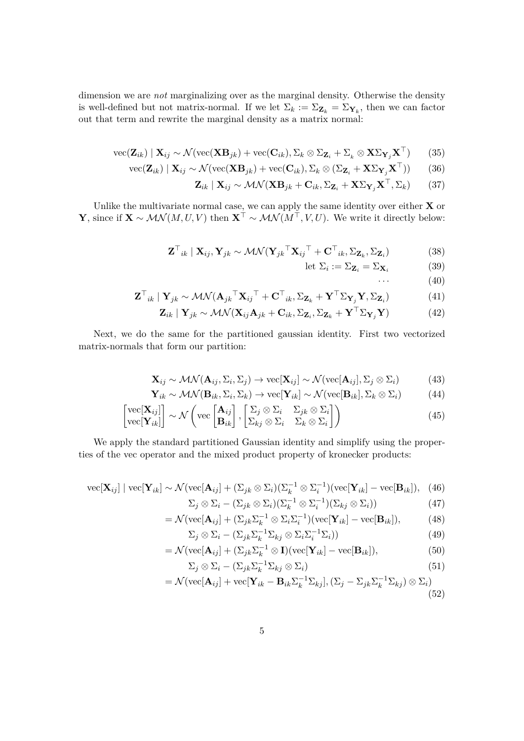dimension we are *not* marginalizing over as the marginal density. Otherwise the density is well-defined but not matrix-normal. If we let  $\Sigma_k := \Sigma_{\mathbf{Z}_k} = \Sigma_{\mathbf{Y}_k}$ , then we can factor out that term and rewrite the marginal density as a matrix normal:

$$
\text{vec}(\mathbf{Z}_{ik}) \mid \mathbf{X}_{ij} \sim \mathcal{N}(\text{vec}(\mathbf{X}\mathbf{B}_{jk}) + \text{vec}(\mathbf{C}_{ik}), \Sigma_k \otimes \Sigma_{\mathbf{Z}_i} + \Sigma_k \otimes \mathbf{X} \Sigma_{\mathbf{Y}_j} \mathbf{X}^{\top})
$$
(35)

$$
\text{vec}(\mathbf{Z}_{ik}) | \mathbf{X}_{ij} \sim \mathcal{N}(\text{vec}(\mathbf{X}\mathbf{B}_{jk}) + \text{vec}(\mathbf{C}_{ik}), \Sigma_k \otimes (\Sigma_{\mathbf{Z}_i} + \mathbf{X}\Sigma_{\mathbf{Y}_j}\mathbf{X}^{\top}))
$$
(36)

$$
\mathbf{Z}_{ik} | \mathbf{X}_{ij} \sim \mathcal{MN}(\mathbf{X} \mathbf{B}_{jk} + \mathbf{C}_{ik}, \Sigma_{\mathbf{Z}_i} + \mathbf{X} \Sigma_{\mathbf{Y}_j} \mathbf{X}^\top, \Sigma_k)
$$
(37)

Unlike the multivariate normal case, we can apply the same identity over either **X** or **Y**, since if  $\mathbf{X} \sim \mathcal{MN}(M, U, V)$  then  $\mathbf{X}^{\dagger} \sim \mathcal{MN}(M^{\dagger}, V, U)$ . We write it directly below:

$$
\mathbf{Z}^{\top}{}_{ik} \mid \mathbf{X}_{ij}, \mathbf{Y}_{jk} \sim \mathcal{MN} (\mathbf{Y}_{jk}{}^{\top} \mathbf{X}_{ij}{}^{\top} + \mathbf{C}^{\top}{}_{ik}, \Sigma_{\mathbf{Z}_{k}}, \Sigma_{\mathbf{Z}_{i}})
$$
(38)

$$
\text{let } \Sigma_i := \Sigma_{\mathbf{Z}_i} = \Sigma_{\mathbf{X}_i} \tag{39}
$$

 $\cdots$  (40)

$$
\mathbf{Z}^{\top}{}_{ik} | \mathbf{Y}_{jk} \sim \mathcal{MN} (\mathbf{A}_{jk}{}^{\top} \mathbf{X}_{ij}{}^{\top} + \mathbf{C}^{\top}{}_{ik}, \Sigma_{\mathbf{Z}_{k}} + \mathbf{Y}^{\top} \Sigma_{\mathbf{Y}_{j}} \mathbf{Y}, \Sigma_{\mathbf{Z}_{i}})
$$
(41)

$$
\mathbf{Z}_{ik} | \mathbf{Y}_{jk} \sim \mathcal{MN}(\mathbf{X}_{ij}\mathbf{A}_{jk} + \mathbf{C}_{ik}, \Sigma_{\mathbf{Z}_i}, \Sigma_{\mathbf{Z}_k} + \mathbf{Y}^\top \Sigma_{\mathbf{Y}_j} \mathbf{Y})
$$
(42)

Next, we do the same for the partitioned gaussian identity. First two vectorized matrix-normals that form our partition:

$$
\mathbf{X}_{ij} \sim \mathcal{MN}(\mathbf{A}_{ij}, \Sigma_i, \Sigma_j) \to \text{vec}[\mathbf{X}_{ij}] \sim \mathcal{N}(\text{vec}[\mathbf{A}_{ij}], \Sigma_j \otimes \Sigma_i)
$$
(43)

$$
\mathbf{Y}_{ik} \sim \mathcal{MN}(\mathbf{B}_{ik}, \Sigma_i, \Sigma_k) \to \text{vec}[\mathbf{Y}_{ik}] \sim \mathcal{N}(\text{vec}[\mathbf{B}_{ik}], \Sigma_k \otimes \Sigma_i)
$$
(44)

$$
\begin{bmatrix}\n\text{vec}[\mathbf{X}_{ij}]\n\\ \text{vec}[\mathbf{Y}_{ik}]\n\end{bmatrix}\n\sim \mathcal{N}\left(\text{vec}\begin{bmatrix}\n\mathbf{A}_{ij} \\
\mathbf{B}_{ik}\n\end{bmatrix},\n\begin{bmatrix}\n\Sigma_j \otimes \Sigma_i & \Sigma_{jk} \otimes \Sigma_i \\
\Sigma_{kj} \otimes \Sigma_i & \Sigma_k \otimes \Sigma_i\n\end{bmatrix}\right)
$$
\n(45)

We apply the standard partitioned Gaussian identity and simplify using the properties of the vec operator and the mixed product property of kronecker products:

vec
$$
\text{vec}[\mathbf{X}_{ij}] \mid \text{vec}[\mathbf{Y}_{ik}] \sim \mathcal{N}(\text{vec}[\mathbf{A}_{ij}] + (\Sigma_{jk} \otimes \Sigma_i)(\Sigma_k^{-1} \otimes \Sigma_i^{-1})(\text{vec}[\mathbf{Y}_{ik}] - \text{vec}[\mathbf{B}_{ik}]), \tag{46}
$$

$$
\Sigma_j \otimes \Sigma_i - (\Sigma_{jk} \otimes \Sigma_i)(\Sigma_k^{-1} \otimes \Sigma_i^{-1})(\Sigma_{kj} \otimes \Sigma_i))
$$
\n(47)

$$
= \mathcal{N}(\text{vec}[\mathbf{A}_{ij}] + (\Sigma_{jk}\Sigma_k^{-1} \otimes \Sigma_i\Sigma_i^{-1})(\text{vec}[\mathbf{Y}_{ik}] - \text{vec}[\mathbf{B}_{ik}]), \tag{48}
$$

$$
\Sigma_j \otimes \Sigma_i - (\Sigma_{jk} \Sigma_k^{-1} \Sigma_{kj} \otimes \Sigma_i \Sigma_i^{-1} \Sigma_i)) \tag{49}
$$

$$
= \mathcal{N}(\text{vec}[\mathbf{A}_{ij}] + (\Sigma_{jk}\Sigma_k^{-1} \otimes \mathbf{I})(\text{vec}[\mathbf{Y}_{ik}] - \text{vec}[\mathbf{B}_{ik}]),
$$
\n(50)

$$
\Sigma_j \otimes \Sigma_i - (\Sigma_{jk} \Sigma_k^{-1} \Sigma_{kj} \otimes \Sigma_i) \tag{51}
$$

$$
= \mathcal{N}(\text{vec}[\mathbf{A}_{ij}] + \text{vec}[\mathbf{Y}_{ik} - \mathbf{B}_{ik}\Sigma_k^{-1}\Sigma_{kj}], (\Sigma_j - \Sigma_{jk}\Sigma_k^{-1}\Sigma_{kj}) \otimes \Sigma_i)
$$
(52)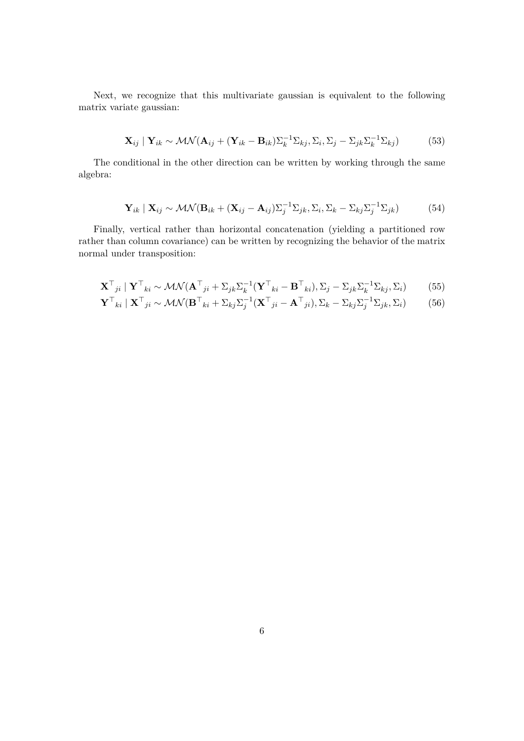Next, we recognize that this multivariate gaussian is equivalent to the following matrix variate gaussian:

$$
\mathbf{X}_{ij} \mid \mathbf{Y}_{ik} \sim \mathcal{MN}(\mathbf{A}_{ij} + (\mathbf{Y}_{ik} - \mathbf{B}_{ik})\Sigma_k^{-1} \Sigma_{kj}, \Sigma_i, \Sigma_j - \Sigma_{jk}\Sigma_k^{-1} \Sigma_{kj})
$$
(53)

The conditional in the other direction can be written by working through the same algebra:

$$
\mathbf{Y}_{ik} \mid \mathbf{X}_{ij} \sim \mathcal{MN}(\mathbf{B}_{ik} + (\mathbf{X}_{ij} - \mathbf{A}_{ij})\Sigma_j^{-1} \Sigma_{jk}, \Sigma_i, \Sigma_k - \Sigma_{kj}\Sigma_j^{-1} \Sigma_{jk})
$$
(54)

Finally, vertical rather than horizontal concatenation (yielding a partitioned row rather than column covariance) can be written by recognizing the behavior of the matrix normal under transposition:

$$
\mathbf{X}^{\top}{}_{ji} | \mathbf{Y}^{\top}{}_{ki} \sim \mathcal{MN}(\mathbf{A}^{\top}{}_{ji} + \Sigma_{jk}\Sigma_{k}^{-1}(\mathbf{Y}^{\top}{}_{ki} - \mathbf{B}^{\top}{}_{ki}), \Sigma_{j} - \Sigma_{jk}\Sigma_{k}^{-1}\Sigma_{kj}, \Sigma_{i}) \tag{55}
$$

$$
\mathbf{Y}^{\top}{}_{ki} | \mathbf{X}^{\top}{}_{ji} \sim \mathcal{MN}(\mathbf{B}^{\top}{}_{ki} + \Sigma_{kj} \Sigma_j^{-1} (\mathbf{X}^{\top}{}_{ji} - \mathbf{A}^{\top}{}_{ji}), \Sigma_k - \Sigma_{kj} \Sigma_j^{-1} \Sigma_{jk}, \Sigma_i)
$$
(56)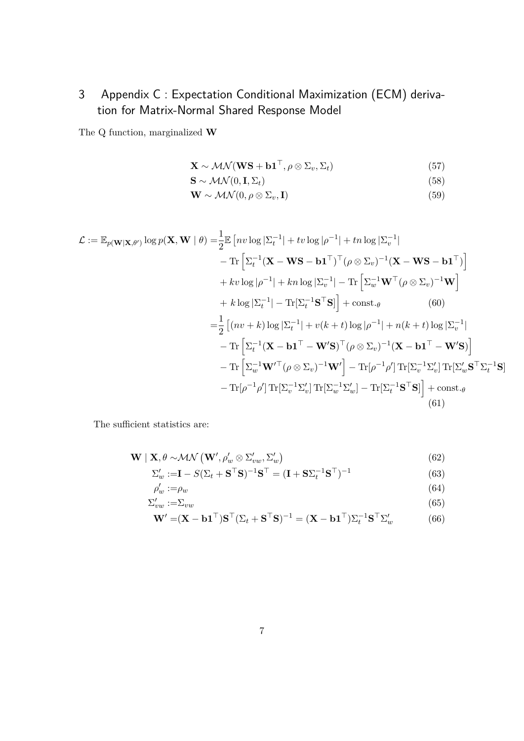3 Appendix C : Expectation Conditional Maximization (ECM) derivation for Matrix-Normal Shared Response Model

The Q function, marginalized **W**

$$
\mathbf{X} \sim \mathcal{MN}(\mathbf{WS} + \mathbf{b1}^{\top}, \rho \otimes \Sigma_v, \Sigma_t)
$$
 (57)

$$
\mathbf{S} \sim \mathcal{MN}(0, \mathbf{I}, \Sigma_t) \tag{58}
$$

$$
\mathbf{W} \sim \mathcal{MN}(0, \rho \otimes \Sigma_v, \mathbf{I})
$$
\n(59)

$$
\mathcal{L} := \mathbb{E}_{p(\mathbf{W}|\mathbf{X},\theta')} \log p(\mathbf{X}, \mathbf{W} \mid \theta) = \frac{1}{2} \mathbb{E} \left[ n v \log |\Sigma_{t}^{-1}| + t v \log |\rho^{-1}| + t n \log |\Sigma_{v}^{-1}| \right. \\ \left. - \text{Tr} \left[ \Sigma_{t}^{-1} (\mathbf{X} - \mathbf{W} \mathbf{S} - \mathbf{b} \mathbf{1}^{\top})^{\top} (\rho \otimes \Sigma_{v})^{-1} (\mathbf{X} - \mathbf{W} \mathbf{S} - \mathbf{b} \mathbf{1}^{\top}) \right] \right. \\ \left. + k v \log |\rho^{-1}| + k n \log |\Sigma_{v}^{-1}| - \text{Tr} \left[ \Sigma_{w}^{-1} \mathbf{W}^{\top} (\rho \otimes \Sigma_{v})^{-1} \mathbf{W} \right] \right. \\ \left. + k \log |\Sigma_{t}^{-1}| - \text{Tr}[\Sigma_{t}^{-1} \mathbf{S}^{\top} \mathbf{S}] \right] + \text{const.}_{\theta} \qquad (60) \\ = \frac{1}{2} \left[ (n v + k) \log |\Sigma_{t}^{-1}| + v(k + t) \log |\rho^{-1}| + n(k + t) \log |\Sigma_{v}^{-1}| \right. \\ \left. - \text{Tr} \left[ \Sigma_{t}^{-1} (\mathbf{X} - \mathbf{b} \mathbf{1}^{\top} - \mathbf{W}' \mathbf{S})^{\top} (\rho \otimes \Sigma_{v})^{-1} (\mathbf{X} - \mathbf{b} \mathbf{1}^{\top} - \mathbf{W}' \mathbf{S}) \right] \right. \\ \left. - \text{Tr} \left[ \Sigma_{w}^{-1} \mathbf{W}'^{\top} (\rho \otimes \Sigma_{v})^{-1} \mathbf{W}' \right] - \text{Tr} [\rho^{-1} \rho'] \text{Tr}[\Sigma_{v}^{-1} \Sigma'_{v}] \text{Tr}[\Sigma_{w}' \mathbf{S}^{\top} \Sigma_{t}^{-1} \mathbf{S}] \right] \right. \\ \left. - \text{Tr} [\rho^{-1} \rho'] \text{Tr}[\Sigma_{v}^{-1} \Sigma'_{v}] \text{Tr}[\Sigma_{w}^{-1} \Sigma'_{w}] - \text{Tr}[\Sigma_{t}^{-1} \mathbf{S}^{\top} \mathbf{S}] \right] + \text{
$$

The sufficient statistics are:

$$
\mathbf{W} \mid \mathbf{X}, \theta \sim \mathcal{MN} \left( \mathbf{W}', \rho_w' \otimes \Sigma_{vw}', \Sigma_w' \right) \tag{62}
$$

$$
\Sigma_w' := \mathbf{I} - S(\Sigma_t + \mathbf{S}^\top \mathbf{S})^{-1} \mathbf{S}^\top = (\mathbf{I} + \mathbf{S} \Sigma_t^{-1} \mathbf{S}^\top)^{-1}
$$
(63)

$$
\rho'_w := \rho_w \tag{64}
$$

$$
\Sigma_{vw} := \Sigma_{vw} \tag{65}
$$

$$
\mathbf{W}' = (\mathbf{X} - \mathbf{b}\mathbf{1}^\top)\mathbf{S}^\top(\Sigma_t + \mathbf{S}^\top\mathbf{S})^{-1} = (\mathbf{X} - \mathbf{b}\mathbf{1}^\top)\Sigma_t^{-1}\mathbf{S}^\top\Sigma_w' \tag{66}
$$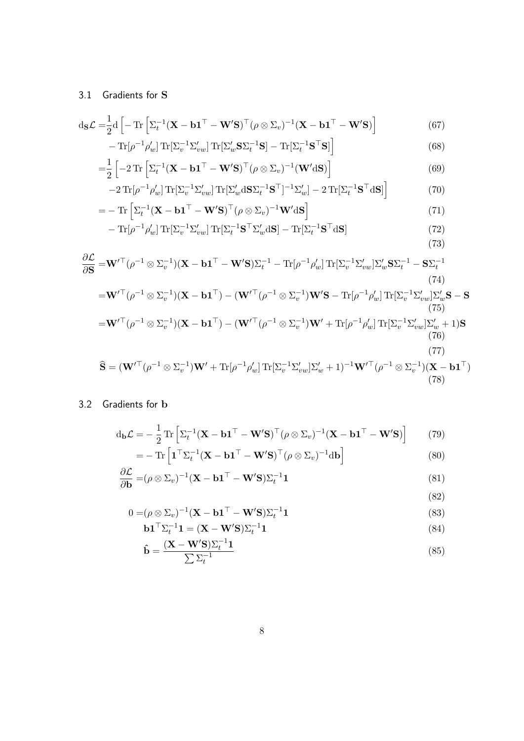## 3.1 Gradients for **S**

$$
d_{\mathbf{S}} \mathcal{L} = \frac{1}{2} d \left[ - \operatorname{Tr} \left[ \Sigma_t^{-1} (\mathbf{X} - \mathbf{b} \mathbf{1}^\top - \mathbf{W}' \mathbf{S})^\top (\rho \otimes \Sigma_v)^{-1} (\mathbf{X} - \mathbf{b} \mathbf{1}^\top - \mathbf{W}' \mathbf{S}) \right] - \operatorname{Tr} [\rho^{-1} \rho_w' ] \operatorname{Tr} [\Sigma_v^{-1} \Sigma_{vw}' ] \operatorname{Tr} [\Sigma_w' \mathbf{S} \Sigma_t^{-1} \mathbf{S}] - \operatorname{Tr} [\Sigma_t^{-1} \mathbf{S}^\top \mathbf{S}] \right]
$$
(68)

$$
= \frac{1}{2} \left[ -2 \operatorname{Tr} \left[ \Sigma_t^{-1} (\mathbf{X} - \mathbf{b} \mathbf{1}^\top - \mathbf{W}' \mathbf{S})^\top (\rho \otimes \Sigma_v)^{-1} (\mathbf{W}' d\mathbf{S}) \right] \right]
$$
(69)

$$
-2\operatorname{Tr}[\rho^{-1}\rho'_{w}]\operatorname{Tr}[\Sigma_{v}^{-1}\Sigma'_{vw}]\operatorname{Tr}[\Sigma_{w}'\mathrm{d}\mathbf{S}\Sigma_{t}^{-1}\mathbf{S}^{\top}]^{-1}\Sigma'_{w}]-2\operatorname{Tr}[\Sigma_{t}^{-1}\mathbf{S}^{\top}\mathrm{d}\mathbf{S}]\bigg]
$$
(70)

$$
= - \operatorname{Tr} \left[ \Sigma_t^{-1} (\mathbf{X} - \mathbf{b} \mathbf{1}^\top - \mathbf{W}' \mathbf{S})^\top (\rho \otimes \Sigma_v)^{-1} \mathbf{W}' d\mathbf{S} \right]
$$
(71)

$$
-\operatorname{Tr}[\rho^{-1}\rho'_{w}]\operatorname{Tr}[\Sigma_{v}^{-1}\Sigma'_{vw}]\operatorname{Tr}[\Sigma_{t}^{-1}\mathbf{S}^{\top}\Sigma'_{w}\mathrm{d}\mathbf{S}]-\operatorname{Tr}[\Sigma_{t}^{-1}\mathbf{S}^{\top}\mathrm{d}\mathbf{S}]
$$
\n(72)

$$
\frac{\partial \mathcal{L}}{\partial \mathbf{S}} = \mathbf{W}'^{\top} (\rho^{-1} \otimes \Sigma_{v}^{-1}) (\mathbf{X} - \mathbf{b} \mathbf{1}^{\top} - \mathbf{W}' \mathbf{S}) \Sigma_{t}^{-1} - \text{Tr} [\rho^{-1} \rho'_{w}] \text{Tr} [\Sigma_{v}^{-1} \Sigma'_{vw}] \Sigma'_{w} \mathbf{S} \Sigma_{t}^{-1} - \mathbf{S} \Sigma_{t}^{-1}
$$
\n(74)\n
$$
= \mathbf{W}'^{\top} (\rho^{-1} \otimes \Sigma_{v}^{-1}) (\mathbf{X} - \mathbf{b} \mathbf{1}^{\top}) - (\mathbf{W}'^{\top} (\rho^{-1} \otimes \Sigma_{v}^{-1}) \mathbf{W}' \mathbf{S} - \text{Tr} [\rho^{-1} \rho'_{w}] \text{Tr} [\Sigma_{v}^{-1} \Sigma'_{vw}] \Sigma'_{w} \mathbf{S} - \mathbf{S}
$$
\n(75)\n
$$
= \mathbf{W}'^{\top} (\rho^{-1} \otimes \Sigma_{v}^{-1}) (\mathbf{X} - \mathbf{b} \mathbf{1}^{\top}) - (\mathbf{W}'^{\top} (\rho^{-1} \otimes \Sigma_{v}^{-1}) \mathbf{W}' + \text{Tr} [\rho^{-1} \rho'_{w}] \text{Tr} [\Sigma_{v}^{-1} \Sigma'_{vw}] \Sigma'_{w} + 1) \mathbf{S}
$$
\n(76)\n
$$
\hat{\mathbf{S}} = (\mathbf{W}'^{\top} (\rho^{-1} \otimes \Sigma_{v}^{-1}) \mathbf{W}' + \text{Tr} [\rho^{-1} \rho'_{w}] \text{Tr} [\Sigma_{v}^{-1} \Sigma'_{vw}] \Sigma'_{w} + 1)^{-1} \mathbf{W}'^{\top} (\rho^{-1} \otimes \Sigma_{v}^{-1}) (\mathbf{X} - \mathbf{b} \mathbf{1}^{\top})
$$
\n(78)

### 3.2 Gradients for **b**

$$
d_{\mathbf{b}}\mathcal{L} = -\frac{1}{2} \text{Tr} \left[ \Sigma_t^{-1} (\mathbf{X} - \mathbf{b} \mathbf{1}^\top - \mathbf{W}' \mathbf{S})^\top (\rho \otimes \Sigma_v)^{-1} (\mathbf{X} - \mathbf{b} \mathbf{1}^\top - \mathbf{W}' \mathbf{S}) \right]
$$
(79)  
= - \text{Tr} \left[ \mathbf{1}^\top \Sigma\_t^{-1} (\mathbf{X} - \mathbf{b} \mathbf{1}^\top - \mathbf{W}' \mathbf{S})^\top (\rho \otimes \Sigma\_v)^{-1} d\mathbf{b} \right]

$$
\frac{\partial \mathcal{L}}{\partial \mathbf{b}} = (\rho \otimes \Sigma_v)^{-1} (\mathbf{X} - \mathbf{b} \mathbf{1}^\top - \mathbf{W}' \mathbf{S}) \Sigma_t^{-1} \mathbf{1}
$$
\n(81)

(82)

$$
0 = (\rho \otimes \Sigma_v)^{-1} (\mathbf{X} - \mathbf{b} \mathbf{1}^\top - \mathbf{W}' \mathbf{S}) \Sigma_t^{-1} \mathbf{1}
$$
\n(83)

$$
\mathbf{b}\mathbf{1}^{\top}\Sigma_t^{-1}\mathbf{1} = (\mathbf{X} - \mathbf{W}'\mathbf{S})\Sigma_t^{-1}\mathbf{1}
$$
\n(84)

$$
\hat{\mathbf{b}} = \frac{(\mathbf{X} - \mathbf{W}'\mathbf{S})\Sigma_t^{-1}\mathbf{1}}{\sum \Sigma_t^{-1}}
$$
\n(85)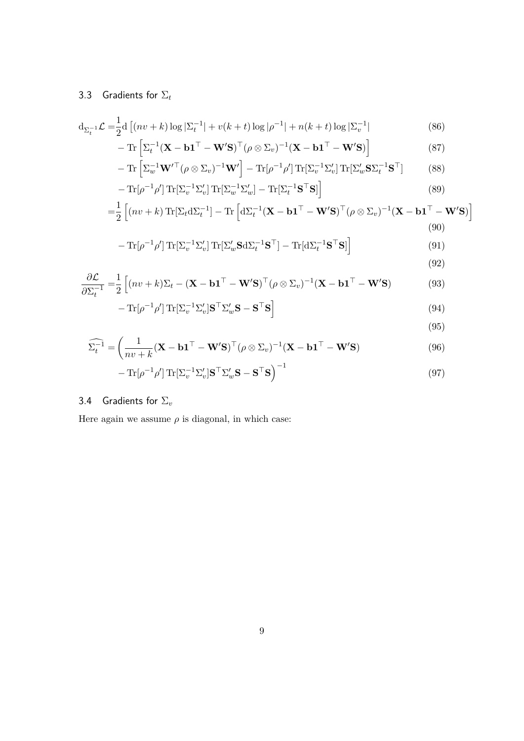# 3.3 Gradients for Σ*<sup>t</sup>*

*−* Tr[*ρ*

$$
d_{\Sigma_t^{-1}} \mathcal{L} = \frac{1}{2} d \left[ (nv + k) \log |\Sigma_t^{-1}| + v(k + t) \log |\rho^{-1}| + n(k + t) \log |\Sigma_v^{-1}| \right] \tag{86}
$$

$$
-\operatorname{Tr}\left[\Sigma_t^{-1}(\mathbf{X}-\mathbf{b1}^\top-\mathbf{W}'\mathbf{S})^\top(\rho\otimes\Sigma_v)^{-1}(\mathbf{X}-\mathbf{b1}^\top-\mathbf{W}'\mathbf{S})\right]
$$
(87)

$$
- \operatorname{Tr} \left[ \Sigma_w^{-1} \mathbf{W}'^\top (\rho \otimes \Sigma_v)^{-1} \mathbf{W}' \right] - \operatorname{Tr} [\rho^{-1} \rho'] \operatorname{Tr} [\Sigma_v^{-1} \Sigma_v'] \operatorname{Tr} [\Sigma_w' \mathbf{S} \Sigma_t^{-1} \mathbf{S}^\top] \tag{88}
$$

$$
- \operatorname{Tr} [\rho^{-1} \rho'] \operatorname{Tr} [\Sigma_v^{-1} \Sigma_v'] \operatorname{Tr} [\Sigma_w^{-1} \Sigma_w'] - \operatorname{Tr} [\Sigma_t^{-1} \mathbf{S}^\top \mathbf{S}] \tag{89}
$$

$$
= \frac{1}{2} \left[ (nv + k) \operatorname{Tr}[\Sigma_t d\Sigma_t^{-1}] - \operatorname{Tr} \left[ d\Sigma_t^{-1} (\mathbf{X} - \mathbf{b1}^\top - \mathbf{W}' \mathbf{S})^\top (\rho \otimes \Sigma_v)^{-1} (\mathbf{X} - \mathbf{b1}^\top - \mathbf{W}' \mathbf{S}) \right] \tag{90}
$$

$$
\operatorname{Tr}[\rho^{-1}\rho']\operatorname{Tr}[\Sigma_v^{-1}\Sigma_v']\operatorname{Tr}[\Sigma_w'\mathbf{S}d\Sigma_t^{-1}\mathbf{S}^\top] - \operatorname{Tr}[\mathrm{d}\Sigma_t^{-1}\mathbf{S}^\top\mathbf{S}]\right]
$$
\n(91)

$$
(92)
$$

$$
\frac{\partial \mathcal{L}}{\partial \Sigma_t^{-1}} = \frac{1}{2} \left[ (nv + k) \Sigma_t - (\mathbf{X} - \mathbf{b1}^\top - \mathbf{W}'\mathbf{S})^\top (\rho \otimes \Sigma_v)^{-1} (\mathbf{X} - \mathbf{b1}^\top - \mathbf{W}'\mathbf{S}) \right]
$$
(93)

$$
-\operatorname{Tr}[\rho^{-1}\rho']\operatorname{Tr}[\Sigma_v^{-1}\Sigma_v']\mathbf{S}^\top\Sigma_w'\mathbf{S} - \mathbf{S}^\top\mathbf{S}]
$$
\n(94)

(95)

$$
\widehat{\Sigma_t^{-1}} = \left(\frac{1}{nv + k} (\mathbf{X} - \mathbf{b1}^\top - \mathbf{W}'\mathbf{S})^\top (\rho \otimes \Sigma_v)^{-1} (\mathbf{X} - \mathbf{b1}^\top - \mathbf{W}'\mathbf{S})\right)
$$
(96)

$$
-\operatorname{Tr}[\rho^{-1}\rho']\operatorname{Tr}[\Sigma_v^{-1}\Sigma_v']\mathbf{S}^\top\Sigma_w'\mathbf{S} - \mathbf{S}^\top\mathbf{S}\big)^{-1}
$$
\n(97)

## 3.4 Gradients for Σ*<sup>v</sup>*

Here again we assume  $\rho$  is diagonal, in which case: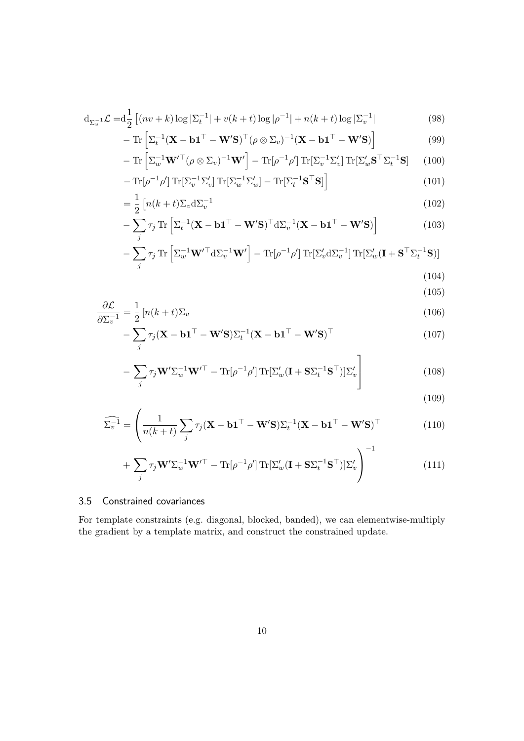$$
d_{\Sigma_v^{-1}} \mathcal{L} = d_{\frac{1}{2}}^{-1} \left[ (nv + k) \log |\Sigma_t^{-1}| + v(k + t) \log |\rho^{-1}| + n(k + t) \log |\Sigma_v^{-1}| \right] \tag{98}
$$

$$
-\operatorname{Tr}\left[\Sigma_t^{-1}(\mathbf{X}-\mathbf{b1}^\top-\mathbf{W}'\mathbf{S})^\top(\rho\otimes\Sigma_v)^{-1}(\mathbf{X}-\mathbf{b1}^\top-\mathbf{W}'\mathbf{S})\right]
$$
(99)

$$
- \operatorname{Tr} \left[ \Sigma_w^{-1} \mathbf{W}'^\top (\rho \otimes \Sigma_v)^{-1} \mathbf{W}' \right] - \operatorname{Tr} [\rho^{-1} \rho'] \operatorname{Tr} [\Sigma_v^{-1} \Sigma_v'] \operatorname{Tr} [\Sigma_w' \mathbf{S}^\top \Sigma_t^{-1} \mathbf{S}] \tag{100}
$$

$$
-\operatorname{Tr}[\rho^{-1}\rho']\operatorname{Tr}[\Sigma_v^{-1}\Sigma_v']\operatorname{Tr}[\Sigma_w^{-1}\Sigma_w'] - \operatorname{Tr}[\Sigma_t^{-1}\mathbf{S}^\top\mathbf{S}]\bigg]
$$
(101)

$$
=\frac{1}{2}\left[n(k+t)\Sigma_v\mathrm{d}\Sigma_v^{-1}\right]
$$
\n(102)

$$
-\sum_{j} \tau_{j} \operatorname{Tr} \left[ \Sigma_{t}^{-1} (\mathbf{X} - \mathbf{b} \mathbf{1}^{\top} - \mathbf{W}' \mathbf{S})^{\top} d \Sigma_{v}^{-1} (\mathbf{X} - \mathbf{b} \mathbf{1}^{\top} - \mathbf{W}' \mathbf{S}) \right]
$$
(103)

$$
-\sum_{j} \tau_{j} \operatorname{Tr} \left[ \Sigma_{w}^{-1} \mathbf{W}'^{\top} d \Sigma_{v}^{-1} \mathbf{W}' \right] - \operatorname{Tr} [\rho^{-1} \rho'] \operatorname{Tr} [\Sigma_{v}' d \Sigma_{v}^{-1}] \operatorname{Tr} [\Sigma_{w}' (\mathbf{I} + \mathbf{S}^{\top} \Sigma_{t}^{-1} \mathbf{S})]
$$
\n(10.1)

(104)  $(105)$ 

$$
= \frac{1}{2} \left[ n(k+t) \Sigma_v \right] \tag{106}
$$

$$
\frac{\partial \Sigma}{\partial \Sigma_v^{-1}} = \frac{1}{2} \left[ n(k+t) \Sigma_v \right]
$$
  
- 
$$
\sum_j \tau_j (\mathbf{X} - \mathbf{b1}^\top - \mathbf{W}' \mathbf{S}) \Sigma_t^{-1} (\mathbf{X} - \mathbf{b1}^\top - \mathbf{W}' \mathbf{S})^\top
$$
 (107)

$$
-\sum_{j} \tau_{j} \mathbf{W}' \Sigma_{w}^{-1} \mathbf{W}'^{\top} - \text{Tr}[\rho^{-1} \rho'] \text{Tr}[\Sigma_{w}'(\mathbf{I} + \mathbf{S} \Sigma_{t}^{-1} \mathbf{S}^{\top})] \Sigma_{v}' \tag{108}
$$

$$
(109)
$$

$$
\widehat{\Sigma_v^{-1}} = \left(\frac{1}{n(k+t)} \sum_j \tau_j (\mathbf{X} - \mathbf{b1}^\top - \mathbf{W}'\mathbf{S}) \Sigma_t^{-1} (\mathbf{X} - \mathbf{b1}^\top - \mathbf{W}'\mathbf{S})^\top\right)
$$
(110)

+
$$
\sum_{j} \tau_{j} \mathbf{W}' \Sigma_{w}^{-1} \mathbf{W}'^{\top} - \text{Tr}[\rho^{-1} \rho'] \text{Tr}[\Sigma_{w}'(\mathbf{I} + \mathbf{S} \Sigma_{t}^{-1} \mathbf{S}^{\top})] \Sigma_{v}' \Bigg)^{-1}
$$
(111)

#### 3.5 Constrained covariances

*∂L*

For template constraints (e.g. diagonal, blocked, banded), we can elementwise-multiply the gradient by a template matrix, and construct the constrained update.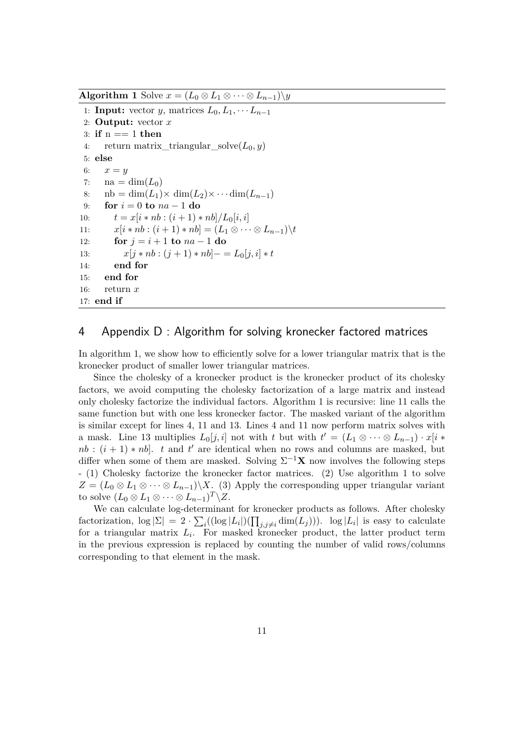**Algorithm 1** Solve  $x = (L_0 \otimes L_1 \otimes \cdots \otimes L_{n-1}) \setminus y$ 

1: **Input:** vector *y*, matrices  $L_0, L_1, \cdots L_{n-1}$ 2: **Output:** vector *x* 3: **if** n == 1 **then** 4: return matrix triangular  $\text{solve}(L_0, y)$ 5: **else** 6:  $x = y$ 7:  $na = \dim(L_0)$ 8:  $\operatorname{nb} = \dim(L_1) \times \dim(L_2) \times \cdots \dim(L_{n-1})$ <br>9: **for**  $i = 0$  to  $na - 1$  do  $\mathbf{for} \, i = 0 \, \mathbf{to} \, na - 1 \, \mathbf{do}$ 10:  $t = x[i * nb : (i + 1) * nb]/L_0[i, i]$ 11:  $x[i * nb : (i + 1) * nb] = (L_1 \otimes \cdots \otimes L_{n-1}) \backslash t$ 12: **for**  $j = i + 1$  **to**  $na - 1$  **do** 13:  $x[j * nb : (j + 1) * nb] - E_0[j, i] * t$ 14: **end for** 15: **end for** 16: return *x* 17: **end if**

### 4 Appendix D : Algorithm for solving kronecker factored matrices

In algorithm 1, we show how to efficiently solve for a lower triangular matrix that is the kronecker product of smaller lower triangular matrices.

Since the cholesky of a kronecker product is the kronecker product of its cholesky factors, we avoid computing the cholesky factorization of a large matrix and instead only cholesky factorize the individual factors. Algorithm 1 is recursive: line 11 calls the same function but with one less kronecker factor. The masked variant of the algorithm is similar except for lines 4, 11 and 13. Lines 4 and 11 now perform matrix solves with a mask. Line 13 multiplies  $L_0[j, i]$  not with  $t$  but with  $t' = (L_1 \otimes \cdots \otimes L_{n-1}) \cdot x[i *$  $nb : (i + 1) * nb$ . *t* and *t*' are identical when no rows and columns are masked, but differ when some of them are masked. Solving  $\Sigma^{-1}X$  now involves the following steps - (1) Cholesky factorize the kronecker factor matrices. (2) Use algorithm 1 to solve  $Z = (L_0 \otimes L_1 \otimes \cdots \otimes L_{n-1}) \setminus X$ . (3) Apply the corresponding upper triangular variant to solve  $(L_0 \otimes L_1 \otimes \cdots \otimes L_{n-1})^T \backslash Z$ .

We can calculate log-determinant for kronecker products as follows. After cholesky  $\text{factorization, } \log |\Sigma| = 2 \cdot \sum_i ((\log |L_i|)(\prod_{j,j\neq i} \dim(L_j)))$ .  $\log |L_i|$  is easy to calculate for a triangular matrix  $L_i$ . For masked kronecker product, the latter product term in the previous expression is replaced by counting the number of valid rows/columns corresponding to that element in the mask.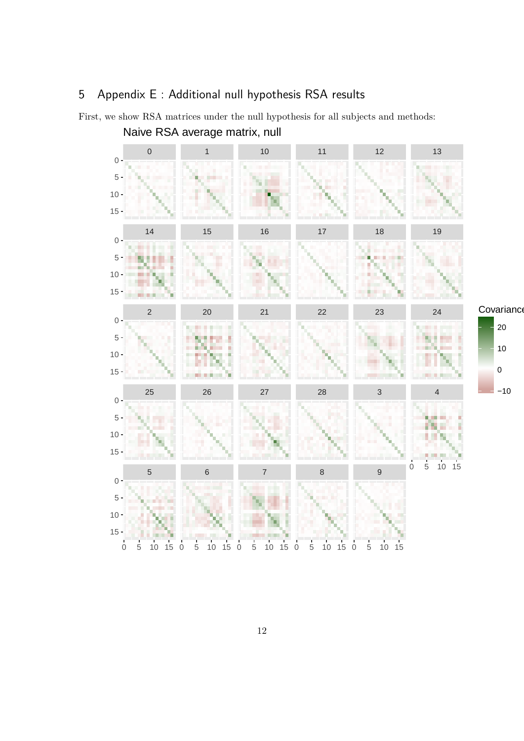# 5 Appendix E : Additional null hypothesis RSA results



First, we show RSA matrices under the null hypothesis for all subjects and methods: Naive RSA average matrix, null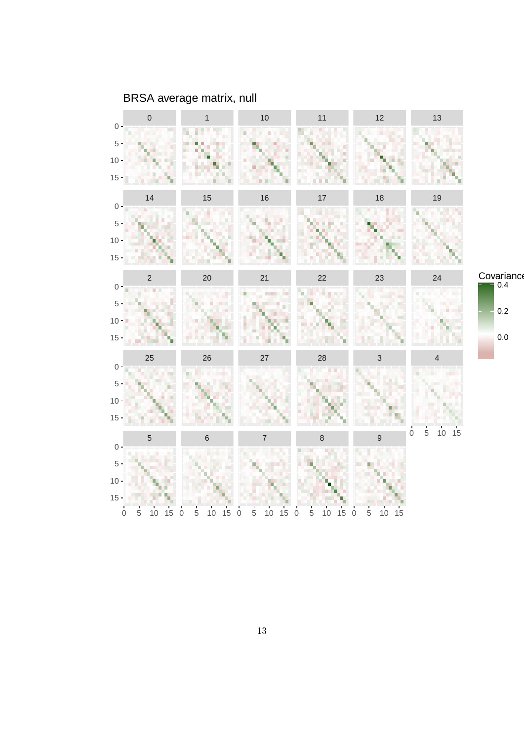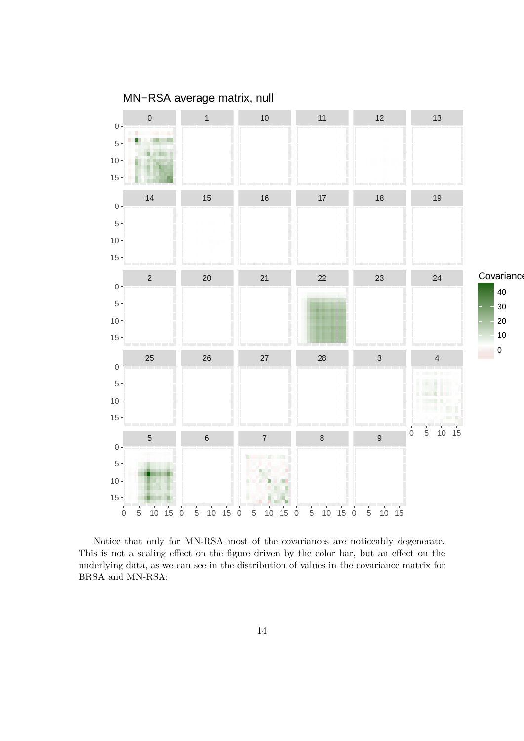

Notice that only for MN-RSA most of the covariances are noticeably degenerate. This is not a scaling effect on the figure driven by the color bar, but an effect on the underlying data, as we can see in the distribution of values in the covariance matrix for BRSA and MN-RSA: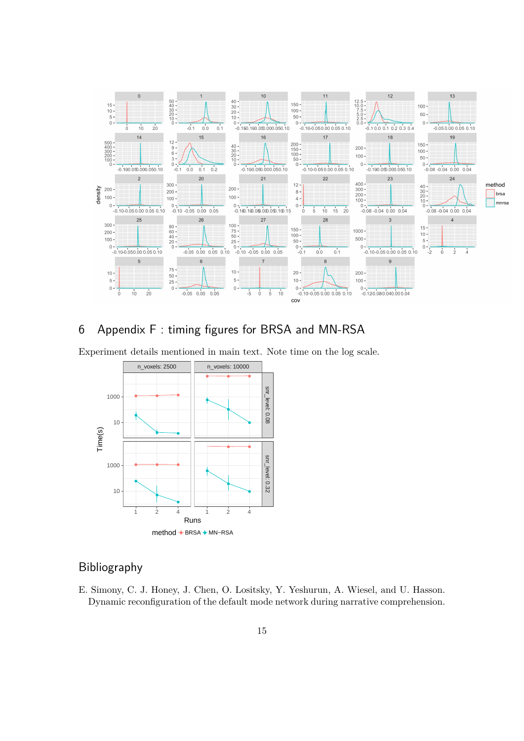

## 6 Appendix F : timing figures for BRSA and MN-RSA

Experiment details mentioned in main text. Note time on the log scale.



## Bibliography

E. Simony, C. J. Honey, J. Chen, O. Lositsky, Y. Yeshurun, A. Wiesel, and U. Hasson. Dynamic reconfiguration of the default mode network during narrative comprehension.